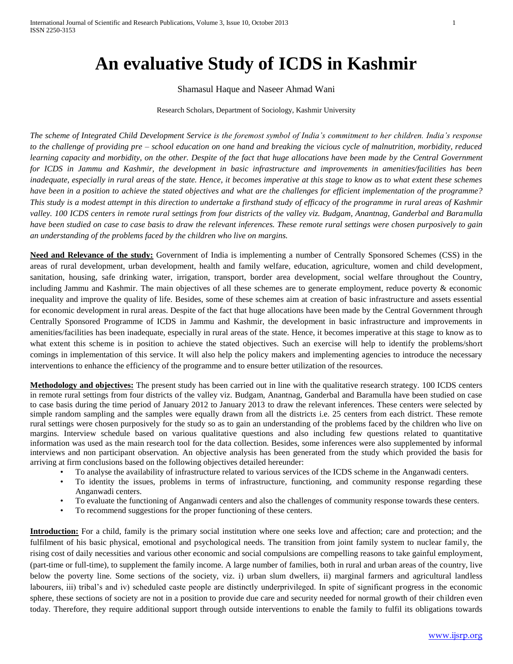## **An evaluative Study of ICDS in Kashmir**

## Shamasul Haque and Naseer Ahmad Wani

## Research Scholars, Department of Sociology, Kashmir University

*The scheme of Integrated Child Development Service is the foremost symbol of India's commitment to her children. India's response to the challenge of providing pre – school education on one hand and breaking the vicious cycle of malnutrition, morbidity, reduced learning capacity and morbidity, on the other. Despite of the fact that huge allocations have been made by the Central Government for ICDS in Jammu and Kashmir, the development in basic infrastructure and improvements in amenities/facilities has been inadequate, especially in rural areas of the state. Hence, it becomes imperative at this stage to know as to what extent these schemes have been in a position to achieve the stated objectives and what are the challenges for efficient implementation of the programme? This study is a modest attempt in this direction to undertake a firsthand study of efficacy of the programme in rural areas of Kashmir valley. 100 ICDS centers in remote rural settings from four districts of the valley viz. Budgam, Anantnag, Ganderbal and Baramulla have been studied on case to case basis to draw the relevant inferences. These remote rural settings were chosen purposively to gain an understanding of the problems faced by the children who live on margins.*

**Need and Relevance of the study:** Government of India is implementing a number of Centrally Sponsored Schemes (CSS) in the areas of rural development, urban development, health and family welfare, education, agriculture, women and child development, sanitation, housing, safe drinking water, irrigation, transport, border area development, social welfare throughout the Country, including Jammu and Kashmir. The main objectives of all these schemes are to generate employment, reduce poverty & economic inequality and improve the quality of life. Besides, some of these schemes aim at creation of basic infrastructure and assets essential for economic development in rural areas. Despite of the fact that huge allocations have been made by the Central Government through Centrally Sponsored Programme of ICDS in Jammu and Kashmir, the development in basic infrastructure and improvements in amenities/facilities has been inadequate, especially in rural areas of the state. Hence, it becomes imperative at this stage to know as to what extent this scheme is in position to achieve the stated objectives. Such an exercise will help to identify the problems/short comings in implementation of this service. It will also help the policy makers and implementing agencies to introduce the necessary interventions to enhance the efficiency of the programme and to ensure better utilization of the resources.

**Methodology and objectives:** The present study has been carried out in line with the qualitative research strategy. 100 ICDS centers in remote rural settings from four districts of the valley viz. Budgam, Anantnag, Ganderbal and Baramulla have been studied on case to case basis during the time period of January 2012 to January 2013 to draw the relevant inferences. These centers were selected by simple random sampling and the samples were equally drawn from all the districts i.e. 25 centers from each district. These remote rural settings were chosen purposively for the study so as to gain an understanding of the problems faced by the children who live on margins. Interview schedule based on various qualitative questions and also including few questions related to quantitative information was used as the main research tool for the data collection. Besides, some inferences were also supplemented by informal interviews and non participant observation. An objective analysis has been generated from the study which provided the basis for arriving at firm conclusions based on the following objectives detailed hereunder:

- To analyse the availability of infrastructure related to various services of the ICDS scheme in the Anganwadi centers.
- To identity the issues, problems in terms of infrastructure, functioning, and community response regarding these Anganwadi centers.
- To evaluate the functioning of Anganwadi centers and also the challenges of community response towards these centers.
- To recommend suggestions for the proper functioning of these centers.

**Introduction:** For a child, family is the primary social institution where one seeks love and affection; care and protection; and the fulfilment of his basic physical, emotional and psychological needs. The transition from joint family system to nuclear family, the rising cost of daily necessities and various other economic and social compulsions are compelling reasons to take gainful employment, (part-time or full-time), to supplement the family income. A large number of families, both in rural and urban areas of the country, live below the poverty line. Some sections of the society, viz. i) urban slum dwellers, ii) marginal farmers and agricultural landless labourers, iii) tribal's and iv) scheduled caste people are distinctly underprivileged. In spite of significant progress in the economic sphere, these sections of society are not in a position to provide due care and security needed for normal growth of their children even today. Therefore, they require additional support through outside interventions to enable the family to fulfil its obligations towards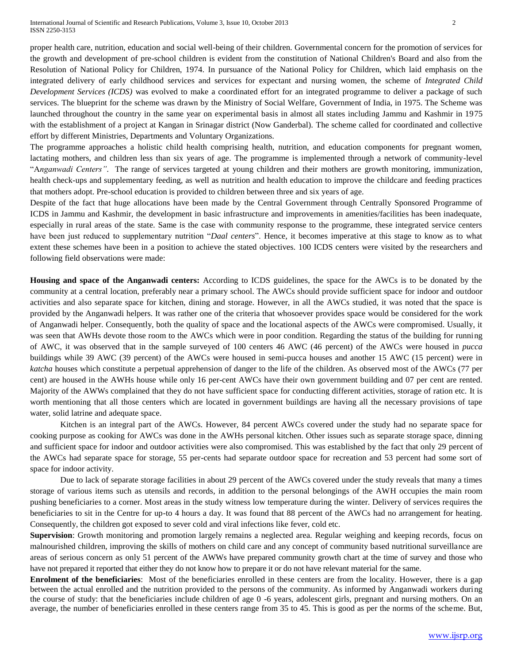proper health care, nutrition, education and social well-being of their children. Governmental concern for the promotion of services for the growth and development of pre-school children is evident from the constitution of National Children's Board and also from the Resolution of National Policy for Children, 1974. In pursuance of the National Policy for Children, which laid emphasis on the integrated delivery of early childhood services and services for expectant and nursing women, the scheme of *Integrated Child Development Services (ICDS)* was evolved to make a coordinated effort for an integrated programme to deliver a package of such services. The blueprint for the scheme was drawn by the Ministry of Social Welfare, Government of India, in 1975. The Scheme was launched throughout the country in the same year on experimental basis in almost all states including Jammu and Kashmir in 1975 with the establishment of a project at Kangan in Srinagar district (Now Ganderbal). The scheme called for coordinated and collective effort by different Ministries, Departments and Voluntary Organizations.

The programme approaches a holistic child health comprising health, nutrition, and education components for pregnant women, lactating mothers, and children less than six years of age. The programme is implemented through a network of community-level "A*nganwadi Centers"*. The range of services targeted at young children and their mothers are growth monitoring, immunization, health check-ups and supplementary feeding, as well as nutrition and health education to improve the childcare and feeding practices that mothers adopt. Pre-school education is provided to children between three and six years of age.

Despite of the fact that huge allocations have been made by the Central Government through Centrally Sponsored Programme of ICDS in Jammu and Kashmir, the development in basic infrastructure and improvements in amenities/facilities has been inadequate, especially in rural areas of the state. Same is the case with community response to the programme, these integrated service centers have been just reduced to supplementary nutrition "*Daal centers*". Hence, it becomes imperative at this stage to know as to what extent these schemes have been in a position to achieve the stated objectives. 100 ICDS centers were visited by the researchers and following field observations were made:

**Housing and space of the Anganwadi centers:** According to ICDS guidelines, the space for the AWCs is to be donated by the community at a central location, preferably near a primary school. The AWCs should provide sufficient space for indoor and outdoor activities and also separate space for kitchen, dining and storage. However, in all the AWCs studied, it was noted that the space is provided by the Anganwadi helpers. It was rather one of the criteria that whosoever provides space would be considered for the work of Anganwadi helper. Consequently, both the quality of space and the locational aspects of the AWCs were compromised. Usually, it was seen that AWHs devote those room to the AWCs which were in poor condition. Regarding the status of the building for running of AWC, it was observed that in the sample surveyed of 100 centers 46 AWC (46 percent) of the AWCs were housed in *pucca* buildings while 39 AWC (39 percent) of the AWCs were housed in semi-pucca houses and another 15 AWC (15 percent) were in *katcha* houses which constitute a perpetual apprehension of danger to the life of the children. As observed most of the AWCs (77 per cent) are housed in the AWHs house while only 16 per-cent AWCs have their own government building and 07 per cent are rented. Majority of the AWWs complained that they do not have sufficient space for conducting different activities, storage of ration etc. It is worth mentioning that all those centers which are located in government buildings are having all the necessary provisions of tape water, solid latrine and adequate space.

Kitchen is an integral part of the AWCs. However, 84 percent AWCs covered under the study had no separate space for cooking purpose as cooking for AWCs was done in the AWHs personal kitchen. Other issues such as separate storage space, dinning and sufficient space for indoor and outdoor activities were also compromised. This was established by the fact that only 29 percent of the AWCs had separate space for storage, 55 per-cents had separate outdoor space for recreation and 53 percent had some sort of space for indoor activity.

Due to lack of separate storage facilities in about 29 percent of the AWCs covered under the study reveals that many a times storage of various items such as utensils and records, in addition to the personal belongings of the AWH occupies the main room pushing beneficiaries to a corner. Most areas in the study witness low temperature during the winter. Delivery of services requires the beneficiaries to sit in the Centre for up-to 4 hours a day. It was found that 88 percent of the AWCs had no arrangement for heating. Consequently, the children got exposed to sever cold and viral infections like fever, cold etc.

**Supervision**: Growth monitoring and promotion largely remains a neglected area. Regular weighing and keeping records, focus on malnourished children, improving the skills of mothers on child care and any concept of community based nutritional surveillance are areas of serious concern as only 51 percent of the AWWs have prepared community growth chart at the time of survey and those who have not prepared it reported that either they do not know how to prepare it or do not have relevant material for the same.

**Enrolment of the beneficiaries**: Most of the beneficiaries enrolled in these centers are from the locality. However, there is a gap between the actual enrolled and the nutrition provided to the persons of the community. As informed by Anganwadi workers during the course of study: that the beneficiaries include children of age 0 -6 years, adolescent girls, pregnant and nursing mothers. On an average, the number of beneficiaries enrolled in these centers range from 35 to 45. This is good as per the norms of the scheme. But,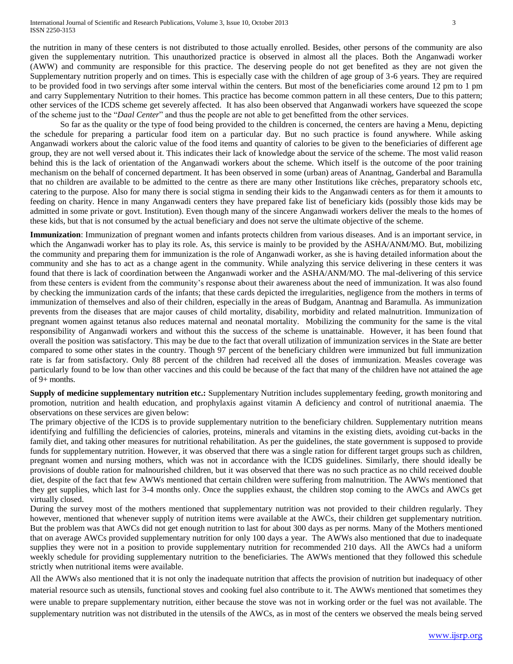the nutrition in many of these centers is not distributed to those actually enrolled. Besides, other persons of the community are also given the supplementary nutrition. This unauthorized practice is observed in almost all the places. Both the Anganwadi worker (AWW) and community are responsible for this practice. The deserving people do not get benefited as they are not given the Supplementary nutrition properly and on times. This is especially case with the children of age group of 3-6 years. They are required to be provided food in two servings after some interval within the centers. But most of the beneficiaries come around 12 pm to 1 pm and carry Supplementary Nutrition to their homes. This practice has become common pattern in all these centers, Due to this pattern; other services of the ICDS scheme get severely affected. It has also been observed that Anganwadi workers have squeezed the scope of the scheme just to the "*Daal Center*" and thus the people are not able to get benefitted from the other services.

So far as the quality or the type of food being provided to the children is concerned, the centers are having a Menu, depicting the schedule for preparing a particular food item on a particular day. But no such practice is found anywhere. While asking Anganwadi workers about the caloric value of the food items and quantity of calories to be given to the beneficiaries of different age group, they are not well versed about it. This indicates their lack of knowledge about the service of the scheme. The most valid reason behind this is the lack of orientation of the Anganwadi workers about the scheme. Which itself is the outcome of the poor training mechanism on the behalf of concerned department. It has been observed in some (urban) areas of Anantnag, Ganderbal and Baramulla that no children are available to be admitted to the centre as there are many other Institutions like crèches, preparatory schools etc, catering to the purpose. Also for many there is social stigma in sending their kids to the Anganwadi centers as for them it amounts to feeding on charity. Hence in many Anganwadi centers they have prepared fake list of beneficiary kids (possibly those kids may be admitted in some private or govt. Institution). Even though many of the sincere Anganwadi workers deliver the meals to the homes of these kids, but that is not consumed by the actual beneficiary and does not serve the ultimate objective of the scheme.

**Immunization**: Immunization of pregnant women and infants protects children from various diseases. And is an important service, in which the Anganwadi worker has to play its role. As, this service is mainly to be provided by the ASHA/ANM/MO. But, mobilizing the community and preparing them for immunization is the role of Anganwadi worker, as she is having detailed information about the community and she has to act as a change agent in the community. While analyzing this service delivering in these centers it was found that there is lack of coordination between the Anganwadi worker and the ASHA/ANM/MO. The mal-delivering of this service from these centers is evident from the community's response about their awareness about the need of immunization. It was also found by checking the immunization cards of the infants; that these cards depicted the irregularities, negligence from the mothers in terms of immunization of themselves and also of their children, especially in the areas of Budgam, Anantnag and Baramulla. As immunization prevents from the diseases that are major causes of child mortality, disability, morbidity and related malnutrition. Immunization of pregnant women against tetanus also reduces maternal and neonatal mortality. Mobilizing the community for the same is the vital responsibility of Anganwadi workers and without this the success of the scheme is unattainable. However, it has been found that overall the position was satisfactory. This may be due to the fact that overall utilization of immunization services in the State are better compared to some other states in the country. Though 97 percent of the beneficiary children were immunized but full immunization rate is far from satisfactory. Only 88 percent of the children had received all the doses of immunization. Measles coverage was particularly found to be low than other vaccines and this could be because of the fact that many of the children have not attained the age of 9+ months.

**Supply of medicine supplementary nutrition etc.:** Supplementary Nutrition includes supplementary feeding, growth monitoring and promotion, nutrition and health education, and prophylaxis against vitamin A deficiency and control of nutritional anaemia. The observations on these services are given below:

The primary objective of the ICDS is to provide supplementary nutrition to the beneficiary children. Supplementary nutrition means identifying and fulfilling the deficiencies of calories, proteins, minerals and vitamins in the existing diets, avoiding cut-backs in the family diet, and taking other measures for nutritional rehabilitation. As per the guidelines, the state government is supposed to provide funds for supplementary nutrition. However, it was observed that there was a single ration for different target groups such as children, pregnant women and nursing mothers, which was not in accordance with the ICDS guidelines. Similarly, there should ideally be provisions of double ration for malnourished children, but it was observed that there was no such practice as no child received double diet, despite of the fact that few AWWs mentioned that certain children were suffering from malnutrition. The AWWs mentioned that they get supplies, which last for 3-4 months only. Once the supplies exhaust, the children stop coming to the AWCs and AWCs get virtually closed.

During the survey most of the mothers mentioned that supplementary nutrition was not provided to their children regularly. They however, mentioned that whenever supply of nutrition items were available at the AWCs, their children get supplementary nutrition. But the problem was that AWCs did not get enough nutrition to last for about 300 days as per norms. Many of the Mothers mentioned that on average AWCs provided supplementary nutrition for only 100 days a year. The AWWs also mentioned that due to inadequate supplies they were not in a position to provide supplementary nutrition for recommended 210 days. All the AWCs had a uniform weekly schedule for providing supplementary nutrition to the beneficiaries. The AWWs mentioned that they followed this schedule strictly when nutritional items were available.

All the AWWs also mentioned that it is not only the inadequate nutrition that affects the provision of nutrition but inadequacy of other material resource such as utensils, functional stoves and cooking fuel also contribute to it. The AWWs mentioned that sometimes they were unable to prepare supplementary nutrition, either because the stove was not in working order or the fuel was not available. The supplementary nutrition was not distributed in the utensils of the AWCs, as in most of the centers we observed the meals being served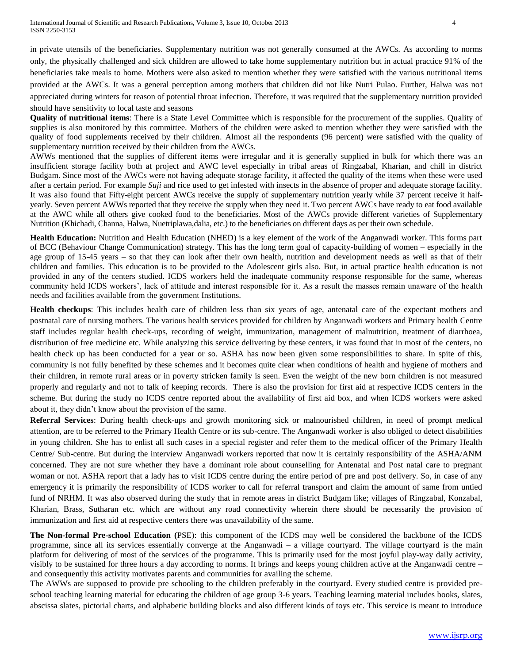International Journal of Scientific and Research Publications, Volume 3, Issue 10, October 2013 4 ISSN 2250-3153

in private utensils of the beneficiaries. Supplementary nutrition was not generally consumed at the AWCs. As according to norms only, the physically challenged and sick children are allowed to take home supplementary nutrition but in actual practice 91% of the beneficiaries take meals to home. Mothers were also asked to mention whether they were satisfied with the various nutritional items provided at the AWCs. It was a general perception among mothers that children did not like Nutri Pulao. Further, Halwa was not appreciated during winters for reason of potential throat infection. Therefore, it was required that the supplementary nutrition provided should have sensitivity to local taste and seasons

**Quality of nutritional items**: There is a State Level Committee which is responsible for the procurement of the supplies. Quality of supplies is also monitored by this committee. Mothers of the children were asked to mention whether they were satisfied with the quality of food supplements received by their children. Almost all the respondents (96 percent) were satisfied with the quality of supplementary nutrition received by their children from the AWCs.

AWWs mentioned that the supplies of different items were irregular and it is generally supplied in bulk for which there was an insufficient storage facility both at project and AWC level especially in tribal areas of Ringzabal, Kharian, and chill in district Budgam. Since most of the AWCs were not having adequate storage facility, it affected the quality of the items when these were used after a certain period. For example *Suji* and rice used to get infested with insects in the absence of proper and adequate storage facility. It was also found that Fifty-eight percent AWCs receive the supply of supplementary nutrition yearly while 37 percent receive it halfyearly. Seven percent AWWs reported that they receive the supply when they need it. Two percent AWCs have ready to eat food available at the AWC while all others give cooked food to the beneficiaries. Most of the AWCs provide different varieties of Supplementary Nutrition (Khichadi, Channa, Halwa, Nuetriplawa,dalia, etc.) to the beneficiaries on different days as per their own schedule.

**Health Education:** Nutrition and Health Education (NHED) is a key element of the work of the Anganwadi worker. This forms part of BCC (Behaviour Change Communication) strategy. This has the long term goal of capacity-building of women – especially in the age group of 15-45 years – so that they can look after their own health, nutrition and development needs as well as that of their children and families. This education is to be provided to the Adolescent girls also. But, in actual practice health education is not provided in any of the centers studied. ICDS workers held the inadequate community response responsible for the same, whereas community held ICDS workers', lack of attitude and interest responsible for it. As a result the masses remain unaware of the health needs and facilities available from the government Institutions.

**Health checkups**: This includes health care of children less than six years of age, antenatal care of the expectant mothers and postnatal care of nursing mothers. The various health services provided for children by Anganwadi workers and Primary health Centre staff includes regular health check-ups, recording of weight, immunization, management of malnutrition, treatment of diarrhoea, distribution of free medicine etc. While analyzing this service delivering by these centers, it was found that in most of the centers, no health check up has been conducted for a year or so. ASHA has now been given some responsibilities to share. In spite of this, community is not fully benefited by these schemes and it becomes quite clear when conditions of health and hygiene of mothers and their children, in remote rural areas or in poverty stricken family is seen. Even the weight of the new born children is not measured properly and regularly and not to talk of keeping records. There is also the provision for first aid at respective ICDS centers in the scheme. But during the study no ICDS centre reported about the availability of first aid box, and when ICDS workers were asked about it, they didn't know about the provision of the same.

**Referral Services**: During health check-ups and growth monitoring sick or malnourished children, in need of prompt medical attention, are to be referred to the Primary Health Centre or its sub-centre. The Anganwadi worker is also obliged to detect disabilities in young children. She has to enlist all such cases in a special register and refer them to the medical officer of the Primary Health Centre/ Sub-centre. But during the interview Anganwadi workers reported that now it is certainly responsibility of the ASHA/ANM concerned. They are not sure whether they have a dominant role about counselling for Antenatal and Post natal care to pregnant woman or not. ASHA report that a lady has to visit ICDS centre during the entire period of pre and post delivery. So, in case of any emergency it is primarily the responsibility of ICDS worker to call for referral transport and claim the amount of same from untied fund of NRHM. It was also observed during the study that in remote areas in district Budgam like; villages of Ringzabal, Konzabal, Kharian, Brass, Sutharan etc. which are without any road connectivity wherein there should be necessarily the provision of immunization and first aid at respective centers there was unavailability of the same.

**The Non-formal Pre-school Education (**PSE): this component of the ICDS may well be considered the backbone of the ICDS programme, since all its services essentially converge at the Anganwadi – a village courtyard. The village courtyard is the main platform for delivering of most of the services of the programme. This is primarily used for the most joyful play-way daily activity, visibly to be sustained for three hours a day according to norms. It brings and keeps young children active at the Anganwadi centre – and consequently this activity motivates parents and communities for availing the scheme.

The AWWs are supposed to provide pre schooling to the children preferably in the courtyard. Every studied centre is provided preschool teaching learning material for educating the children of age group 3-6 years. Teaching learning material includes books, slates, abscissa slates, pictorial charts, and alphabetic building blocks and also different kinds of toys etc. This service is meant to introduce